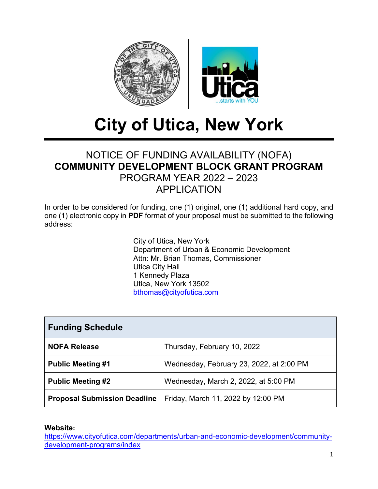

# **City of Utica, New York**

# NOTICE OF FUNDING AVAILABILITY (NOFA) **COMMUNITY DEVELOPMENT BLOCK GRANT PROGRAM** PROGRAM YEAR 2022 – 2023 APPLICATION

In order to be considered for funding, one (1) original, one (1) additional hard copy, and one (1) electronic copy in **PDF** format of your proposal must be submitted to the following address:

> City of Utica, New York Department of Urban & Economic Development Attn: Mr. Brian Thomas, Commissioner Utica City Hall 1 Kennedy Plaza Utica, New York 13502 [bthomas@cityofutica.com](mailto:bthomas@cityofutica.com)

| <b>Funding Schedule</b>             |                                          |  |  |  |  |
|-------------------------------------|------------------------------------------|--|--|--|--|
| <b>NOFA Release</b>                 | Thursday, February 10, 2022              |  |  |  |  |
| <b>Public Meeting #1</b>            | Wednesday, February 23, 2022, at 2:00 PM |  |  |  |  |
| <b>Public Meeting #2</b>            | Wednesday, March 2, 2022, at 5:00 PM     |  |  |  |  |
| <b>Proposal Submission Deadline</b> | Friday, March 11, 2022 by 12:00 PM       |  |  |  |  |

**Website:** 

[https://www.cityofutica.com/departments/urban-and-economic-development/community](https://www.cityofutica.com/departments/urban-and-economic-development/community-development-programs/index)[development-programs/index](https://www.cityofutica.com/departments/urban-and-economic-development/community-development-programs/index)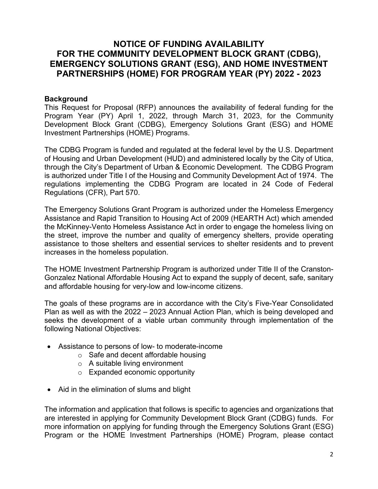## **NOTICE OF FUNDING AVAILABILITY FOR THE COMMUNITY DEVELOPMENT BLOCK GRANT (CDBG), EMERGENCY SOLUTIONS GRANT (ESG), AND HOME INVESTMENT PARTNERSHIPS (HOME) FOR PROGRAM YEAR (PY) 2022 - 2023**

#### **Background**

This Request for Proposal (RFP) announces the availability of federal funding for the Program Year (PY) April 1, 2022, through March 31, 2023, for the Community Development Block Grant (CDBG), Emergency Solutions Grant (ESG) and HOME Investment Partnerships (HOME) Programs.

The CDBG Program is funded and regulated at the federal level by the U.S. Department of Housing and Urban Development (HUD) and administered locally by the City of Utica, through the City's Department of Urban & Economic Development. The CDBG Program is authorized under Title I of the Housing and Community Development Act of 1974. The regulations implementing the CDBG Program are located in 24 Code of Federal Regulations (CFR), Part 570.

The Emergency Solutions Grant Program is authorized under the Homeless Emergency Assistance and Rapid Transition to Housing Act of 2009 (HEARTH Act) which amended the McKinney-Vento Homeless Assistance Act in order to engage the homeless living on the street, improve the number and quality of emergency shelters, provide operating assistance to those shelters and essential services to shelter residents and to prevent increases in the homeless population.

The HOME Investment Partnership Program is authorized under Title II of the Cranston-Gonzalez National Affordable Housing Act to expand the supply of decent, safe, sanitary and affordable housing for very-low and low-income citizens.

The goals of these programs are in accordance with the City's Five-Year Consolidated Plan as well as with the 2022 – 2023 Annual Action Plan, which is being developed and seeks the development of a viable urban community through implementation of the following National Objectives:

- Assistance to persons of low- to moderate-income
	- o Safe and decent affordable housing
	- o A suitable living environment
	- o Expanded economic opportunity
- Aid in the elimination of slums and blight

The information and application that follows is specific to agencies and organizations that are interested in applying for Community Development Block Grant (CDBG) funds. For more information on applying for funding through the Emergency Solutions Grant (ESG) Program or the HOME Investment Partnerships (HOME) Program, please contact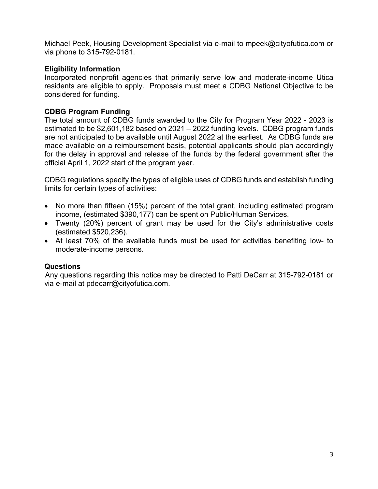Michael Peek, Housing Development Specialist via e-mail to mpeek@cityofutica.com or via phone to 315-792-0181.

#### **Eligibility Information**

Incorporated nonprofit agencies that primarily serve low and moderate-income Utica residents are eligible to apply. Proposals must meet a CDBG National Objective to be considered for funding.

#### **CDBG Program Funding**

The total amount of CDBG funds awarded to the City for Program Year 2022 - 2023 is estimated to be \$2,601,182 based on 2021 – 2022 funding levels. CDBG program funds are not anticipated to be available until August 2022 at the earliest. As CDBG funds are made available on a reimbursement basis, potential applicants should plan accordingly for the delay in approval and release of the funds by the federal government after the official April 1, 2022 start of the program year.

CDBG regulations specify the types of eligible uses of CDBG funds and establish funding limits for certain types of activities:

- No more than fifteen (15%) percent of the total grant, including estimated program income, (estimated \$390,177) can be spent on Public/Human Services.
- Twenty (20%) percent of grant may be used for the City's administrative costs (estimated \$520,236).
- At least 70% of the available funds must be used for activities benefiting low- to moderate-income persons.

#### **Questions**

Any questions regarding this notice may be directed to Patti DeCarr at 315-792-0181 or via e-mail at pdecarr@cityofutica.com.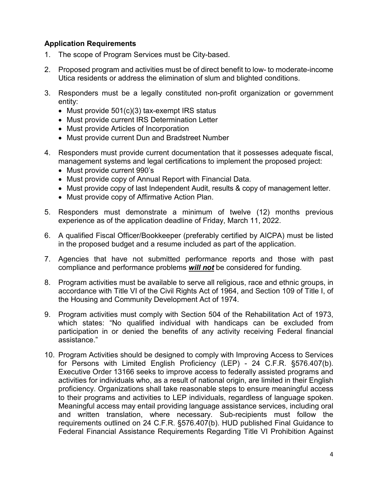#### **Application Requirements**

- 1. The scope of Program Services must be City-based.
- 2. Proposed program and activities must be of direct benefit to low- to moderate-income Utica residents or address the elimination of slum and blighted conditions.
- 3. Responders must be a legally constituted non-profit organization or government entity:
	- Must provide 501(c)(3) tax-exempt IRS status
	- Must provide current IRS Determination Letter
	- Must provide Articles of Incorporation
	- Must provide current Dun and Bradstreet Number
- 4. Responders must provide current documentation that it possesses adequate fiscal, management systems and legal certifications to implement the proposed project:
	- Must provide current 990's
	- Must provide copy of Annual Report with Financial Data.
	- Must provide copy of last Independent Audit, results & copy of management letter.
	- Must provide copy of Affirmative Action Plan.
- 5. Responders must demonstrate a minimum of twelve (12) months previous experience as of the application deadline of Friday, March 11, 2022.
- 6. A qualified Fiscal Officer/Bookkeeper (preferably certified by AICPA) must be listed in the proposed budget and a resume included as part of the application.
- 7. Agencies that have not submitted performance reports and those with past compliance and performance problems *will not* be considered for funding.
- 8. Program activities must be available to serve all religious, race and ethnic groups, in accordance with Title VI of the Civil Rights Act of 1964, and Section 109 of Title I, of the Housing and Community Development Act of 1974.
- 9. Program activities must comply with Section 504 of the Rehabilitation Act of 1973, which states: "No qualified individual with handicaps can be excluded from participation in or denied the benefits of any activity receiving Federal financial assistance."
- 10. Program Activities should be designed to comply with Improving Access to Services for Persons with Limited English Proficiency (LEP) - 24 C.F.R. §576.407(b). Executive Order 13166 seeks to improve access to federally assisted programs and activities for individuals who, as a result of national origin, are limited in their English proficiency. Organizations shall take reasonable steps to ensure meaningful access to their programs and activities to LEP individuals, regardless of language spoken. Meaningful access may entail providing language assistance services, including oral and written translation, where necessary. Sub-recipients must follow the requirements outlined on 24 C.F.R. §576.407(b). HUD published Final Guidance to Federal Financial Assistance Requirements Regarding Title VI Prohibition Against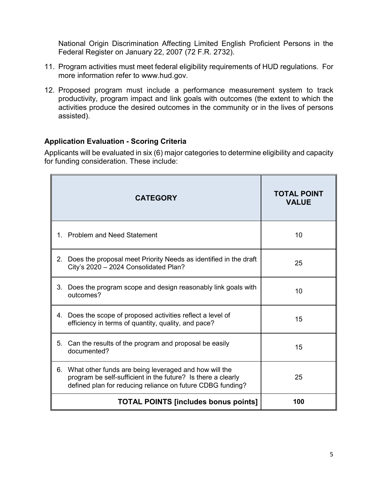National Origin Discrimination Affecting Limited English Proficient Persons in the Federal Register on January 22, 2007 (72 F.R. 2732).

- 11. Program activities must meet federal eligibility requirements of HUD regulations. For more information refer to [www.hud.gov.](http://www.hud.gov/)
- 12. Proposed program must include a performance measurement system to track productivity, program impact and link goals with outcomes (the extent to which the activities produce the desired outcomes in the community or in the lives of persons assisted).

#### **Application Evaluation - Scoring Criteria**

Applicants will be evaluated in six (6) major categories to determine eligibility and capacity for funding consideration. These include:

|    | <b>CATEGORY</b>                                                                                                                                                                     | <b>TOTAL POINT</b><br><b>VALUE</b> |
|----|-------------------------------------------------------------------------------------------------------------------------------------------------------------------------------------|------------------------------------|
|    | 1. Problem and Need Statement                                                                                                                                                       | 10                                 |
| 2. | Does the proposal meet Priority Needs as identified in the draft<br>City's 2020 - 2024 Consolidated Plan?                                                                           | 25                                 |
| 3. | Does the program scope and design reasonably link goals with<br>outcomes?                                                                                                           | 10                                 |
|    | 4. Does the scope of proposed activities reflect a level of<br>efficiency in terms of quantity, quality, and pace?                                                                  | 15                                 |
| 5. | Can the results of the program and proposal be easily<br>documented?                                                                                                                | 15                                 |
| 6. | What other funds are being leveraged and how will the<br>program be self-sufficient in the future? Is there a clearly<br>defined plan for reducing reliance on future CDBG funding? | 25                                 |
|    | <b>TOTAL POINTS [includes bonus points]</b>                                                                                                                                         | 100                                |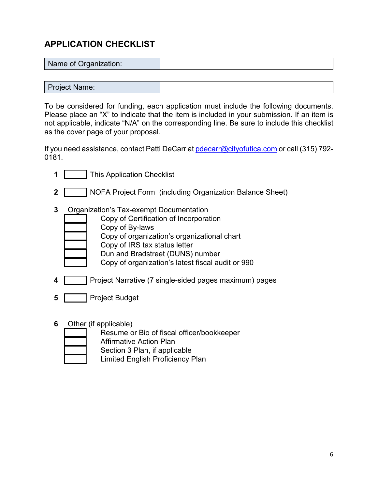# **APPLICATION CHECKLIST**

| Name of Organization: |  |
|-----------------------|--|
|                       |  |

Project Name:

To be considered for funding, each application must include the following documents. Please place an "X" to indicate that the item is included in your submission. If an item is not applicable, indicate "N/A" on the corresponding line. Be sure to include this checklist as the cover page of your proposal.

If you need assistance, contact Patti DeCarr at [pdecarr@cityofutica.com](mailto:pdecarr@cityofutica.com) or call (315) 792-0181.

- **1** This Application Checklist **2** | NOFA Project Form (including Organization Balance Sheet) **3** Organization's Tax-exempt Documentation Copy of Certification of Incorporation Copy of By-laws Copy of organization's organizational chart
	- Copy of IRS tax status letter
		- Dun and Bradstreet (DUNS) number
		- Copy of organization's latest fiscal audit or 990
- **4 Project Narrative (7 single-sided pages maximum) pages**
- **5** Project Budget
- **6** Other (if applicable)
	- Resume or Bio of fiscal officer/bookkeeper
	- Affirmative Action Plan
		- Section 3 Plan, if applicable
		- Limited English Proficiency Plan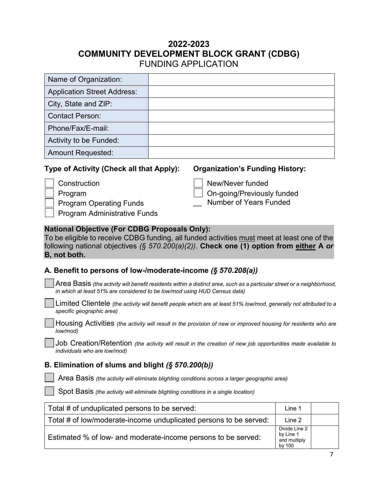## **2022-2023 COMMUNITY DEVELOPMENT BLOCK GRANT (CDBG)** FUNDING APPLICATION

| Name of Organization:                                                              |  |  |  |  |  |
|------------------------------------------------------------------------------------|--|--|--|--|--|
| <b>Application Street Address:</b>                                                 |  |  |  |  |  |
| City, State and ZIP:                                                               |  |  |  |  |  |
| <b>Contact Person:</b>                                                             |  |  |  |  |  |
| Phone/Fax/E-mail:                                                                  |  |  |  |  |  |
| Activity to be Funded:                                                             |  |  |  |  |  |
| <b>Amount Requested:</b>                                                           |  |  |  |  |  |
| Type of Activity (Check all that Apply):<br><b>Organization's Funding History:</b> |  |  |  |  |  |

| Construction                 | New/Never funded                           |
|------------------------------|--------------------------------------------|
| Program                      | $\vert$ $\vert$ On-going/Previously funded |
| Program Operating Funds      | <b>Number of Years Funded</b>              |
| Program Administrative Funds |                                            |

#### **National Objective (For CDBG Proposals Only):**

To be eligible to receive CDBG funding, all funded activities must meet at least one of the following national objectives *(§ 570.200(a)(2))*. **Check one (1) option from either A** *or* **B, not both.**

#### **A. Benefit to persons of low-/moderate-income** *(§ 570.208(a))*

| Area Basis (the activity will benefit residents within a distinct area, such as a particular street or a neighborhood, |
|------------------------------------------------------------------------------------------------------------------------|
| in which at least 51% are considered to be low/mod using HUD Census data)                                              |

Limited Clientele *(the activity will benefit people which are at least 51% low/mod, generally not attributed to a specific geographic area)*

Housing Activities *(the activity will result in the provision of new or improved housing for residents who are low/mod)*

Job Creation/Retention *(the activity will result in the creation of new job opportunities made available to individuals who are low/mod)*

#### **B. Elimination of slums and blight** *(§ 570.200(b))*

Area Basis *(the activity will eliminate blighting conditions across a larger geographic area)*

Spot Basis *(the activity will eliminate blighting conditions in a single location)*

| Total # of unduplicated persons to be served:                     | Line 1                                               |  |
|-------------------------------------------------------------------|------------------------------------------------------|--|
| Total # of low/moderate-income unduplicated persons to be served: | Line 2                                               |  |
| Estimated % of low- and moderate-income persons to be served:     | Divide Line 2<br>by Line 1<br>and multiply<br>by 100 |  |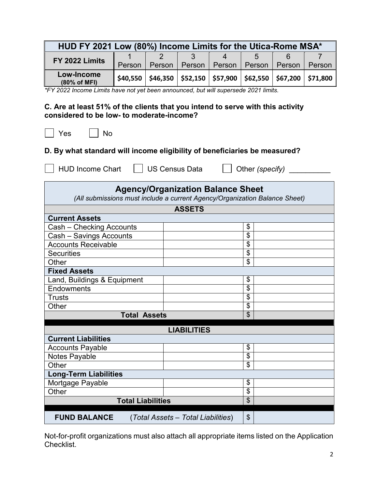| HUD FY 2021 Low (80%) Income Limits for the Utica-Rome MSA* |          |        |                                                   |        |        |        |              |  |  |  |
|-------------------------------------------------------------|----------|--------|---------------------------------------------------|--------|--------|--------|--------------|--|--|--|
| FY 2022 Limits                                              |          |        |                                                   |        | ∽      |        |              |  |  |  |
|                                                             | Person   | Person | Person                                            | Person | Person | Person | Person       |  |  |  |
| Low-Income<br>(80% of MFI)                                  | \$40.550 |        | $$46,350$ $$52,150$ $$57,900$ $$62,550$ $$67,200$ |        |        |        | $ $ \$71,800 |  |  |  |

*\*FY 2022 Income Limits have not yet been announced, but will supersede 2021 limits.*

#### **C. Are at least 51% of the clients that you intend to serve with this activity considered to be low- to moderate-income?**

 $\Box$  Yes  $\Box$  No

### **D. By what standard will income eligibility of beneficiaries be measured?**

HUD Income Chart  $\Box$  US Census Data  $\Box$  Other *(specify)* \_\_\_\_\_\_\_\_\_

| <b>Agency/Organization Balance Sheet</b>                                   |                                    |                           |  |  |  |  |
|----------------------------------------------------------------------------|------------------------------------|---------------------------|--|--|--|--|
| (All submissions must include a current Agency/Organization Balance Sheet) |                                    |                           |  |  |  |  |
|                                                                            | <b>ASSETS</b>                      |                           |  |  |  |  |
| <b>Current Assets</b>                                                      |                                    |                           |  |  |  |  |
| Cash - Checking Accounts                                                   |                                    | \$                        |  |  |  |  |
| Cash - Savings Accounts                                                    |                                    | \$                        |  |  |  |  |
| <b>Accounts Receivable</b>                                                 |                                    | \$                        |  |  |  |  |
| <b>Securities</b>                                                          |                                    | \$                        |  |  |  |  |
| Other                                                                      |                                    | \$                        |  |  |  |  |
| <b>Fixed Assets</b>                                                        |                                    |                           |  |  |  |  |
| Land, Buildings & Equipment                                                |                                    | \$                        |  |  |  |  |
| Endowments                                                                 |                                    | \$                        |  |  |  |  |
| <b>Trusts</b>                                                              |                                    | \$                        |  |  |  |  |
| Other                                                                      |                                    | \$                        |  |  |  |  |
| <b>Total Assets</b>                                                        |                                    | \$                        |  |  |  |  |
|                                                                            | <b>LIABILITIES</b>                 |                           |  |  |  |  |
| <b>Current Liabilities</b>                                                 |                                    |                           |  |  |  |  |
| <b>Accounts Payable</b>                                                    |                                    | \$                        |  |  |  |  |
| Notes Payable                                                              |                                    | \$                        |  |  |  |  |
| Other                                                                      |                                    | \$                        |  |  |  |  |
| <b>Long-Term Liabilities</b>                                               |                                    |                           |  |  |  |  |
| Mortgage Payable                                                           |                                    | \$                        |  |  |  |  |
| Other                                                                      |                                    | \$                        |  |  |  |  |
| <b>Total Liabilities</b>                                                   |                                    | $\boldsymbol{\mathsf{S}}$ |  |  |  |  |
|                                                                            |                                    |                           |  |  |  |  |
| <b>FUND BALANCE</b>                                                        | (Total Assets - Total Liabilities) | \$                        |  |  |  |  |

Not-for-profit organizations must also attach all appropriate items listed on the Application Checklist.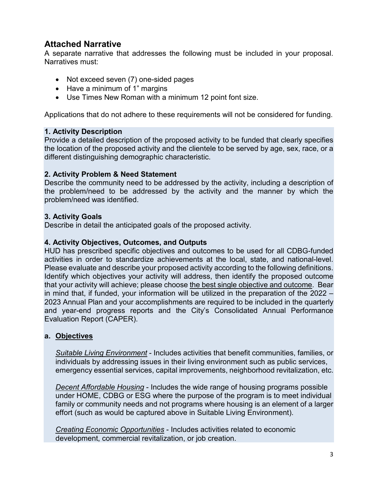## **Attached Narrative**

A separate narrative that addresses the following must be included in your proposal. Narratives must:

- Not exceed seven (7) one-sided pages
- Have a minimum of 1" margins
- Use Times New Roman with a minimum 12 point font size.

Applications that do not adhere to these requirements will not be considered for funding.

#### **1. Activity Description**

Provide a detailed description of the proposed activity to be funded that clearly specifies the location of the proposed activity and the clientele to be served by age, sex, race, or a different distinguishing demographic characteristic.

#### **2. Activity Problem & Need Statement**

Describe the community need to be addressed by the activity, including a description of the problem/need to be addressed by the activity and the manner by which the problem/need was identified.

#### **3. Activity Goals**

Describe in detail the anticipated goals of the proposed activity.

#### **4. Activity Objectives, Outcomes, and Outputs**

HUD has prescribed specific objectives and outcomes to be used for all CDBG-funded activities in order to standardize achievements at the local, state, and national-level. Please evaluate and describe your proposed activity according to the following definitions. Identify which objectives your activity will address, then identify the proposed outcome that your activity will achieve; please choose the best single objective and outcome. Bear in mind that, if funded, your information will be utilized in the preparation of the 2022 – 2023 Annual Plan and your accomplishments are required to be included in the quarterly and year-end progress reports and the City's Consolidated Annual Performance Evaluation Report (CAPER).

#### **a. Objectives**

*Suitable Living Environment* - Includes activities that benefit communities, families, or individuals by addressing issues in their living environment such as public services, emergency essential services, capital improvements, neighborhood revitalization, etc.

*Decent Affordable Housing* - Includes the wide range of housing programs possible under HOME, CDBG or ESG where the purpose of the program is to meet individual family or community needs and not programs where housing is an element of a larger effort (such as would be captured above in Suitable Living Environment).

*Creating Economic Opportunities* - Includes activities related to economic development, commercial revitalization, or job creation.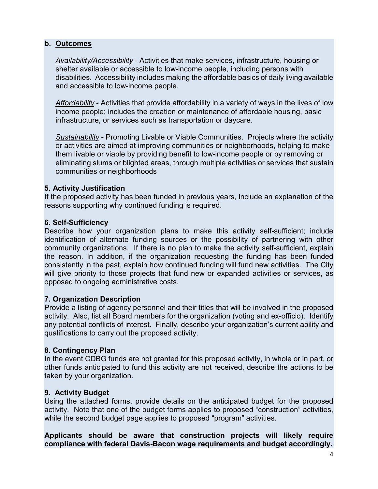#### **b. Outcomes**

*Availability/Accessibility* - Activities that make services, infrastructure, housing or shelter available or accessible to low-income people, including persons with disabilities. Accessibility includes making the affordable basics of daily living available and accessible to low-income people.

*Affordability* - Activities that provide affordability in a variety of ways in the lives of low income people; includes the creation or maintenance of affordable housing, basic infrastructure, or services such as transportation or daycare.

*Sustainability* - Promoting Livable or Viable Communities. Projects where the activity or activities are aimed at improving communities or neighborhoods, helping to make them livable or viable by providing benefit to low-income people or by removing or eliminating slums or blighted areas, through multiple activities or services that sustain communities or neighborhoods

#### **5. Activity Justification**

If the proposed activity has been funded in previous years, include an explanation of the reasons supporting why continued funding is required.

#### **6. Self-Sufficiency**

Describe how your organization plans to make this activity self-sufficient; include identification of alternate funding sources or the possibility of partnering with other community organizations. If there is no plan to make the activity self-sufficient, explain the reason. In addition, if the organization requesting the funding has been funded consistently in the past, explain how continued funding will fund new activities. The City will give priority to those projects that fund new or expanded activities or services, as opposed to ongoing administrative costs.

#### **7. Organization Description**

Provide a listing of agency personnel and their titles that will be involved in the proposed activity. Also, list all Board members for the organization (voting and ex-officio). Identify any potential conflicts of interest. Finally, describe your organization's current ability and qualifications to carry out the proposed activity.

#### **8. Contingency Plan**

In the event CDBG funds are not granted for this proposed activity, in whole or in part, or other funds anticipated to fund this activity are not received, describe the actions to be taken by your organization.

#### **9. Activity Budget**

Using the attached forms, provide details on the anticipated budget for the proposed activity. Note that one of the budget forms applies to proposed "construction" activities, while the second budget page applies to proposed "program" activities.

**Applicants should be aware that construction projects will likely require compliance with federal Davis-Bacon wage requirements and budget accordingly.**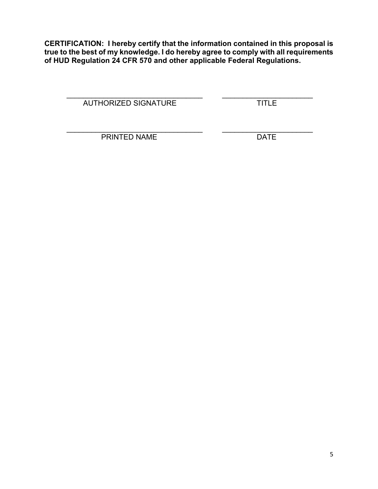**CERTIFICATION: I hereby certify that the information contained in this proposal is true to the best of my knowledge. I do hereby agree to comply with all requirements of HUD Regulation 24 CFR 570 and other applicable Federal Regulations.**

\_\_\_\_\_\_\_\_\_\_\_\_\_\_\_\_\_\_\_\_\_\_\_\_\_\_\_\_\_\_\_\_\_ \_\_\_\_\_\_\_\_\_\_\_\_\_\_\_\_\_\_\_\_\_\_ AUTHORIZED SIGNATURE TITLE

\_\_\_\_\_\_\_\_\_\_\_\_\_\_\_\_\_\_\_\_\_\_\_\_\_\_\_\_\_\_\_\_\_ \_\_\_\_\_\_\_\_\_\_\_\_\_\_\_\_\_\_\_\_\_\_ PRINTED NAME DATE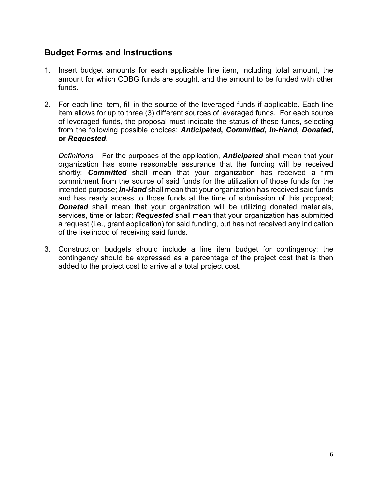## **Budget Forms and Instructions**

- 1. Insert budget amounts for each applicable line item, including total amount, the amount for which CDBG funds are sought, and the amount to be funded with other funds.
- 2. For each line item, fill in the source of the leveraged funds if applicable. Each line item allows for up to three (3) different sources of leveraged funds. For each source of leveraged funds, the proposal must indicate the status of these funds, selecting from the following possible choices: *Anticipated***,** *Committed***,** *In-Hand***,** *Donated***, or** *Requested*.

*Definitions –* For the purposes of the application, *Anticipated* shall mean that your organization has some reasonable assurance that the funding will be received shortly; *Committed* shall mean that your organization has received a firm commitment from the source of said funds for the utilization of those funds for the intended purpose; *In-Hand* shall mean that your organization has received said funds and has ready access to those funds at the time of submission of this proposal; **Donated** shall mean that your organization will be utilizing donated materials, services, time or labor; *Requested* shall mean that your organization has submitted a request (i.e., grant application) for said funding, but has not received any indication of the likelihood of receiving said funds.

3. Construction budgets should include a line item budget for contingency; the contingency should be expressed as a percentage of the project cost that is then added to the project cost to arrive at a total project cost.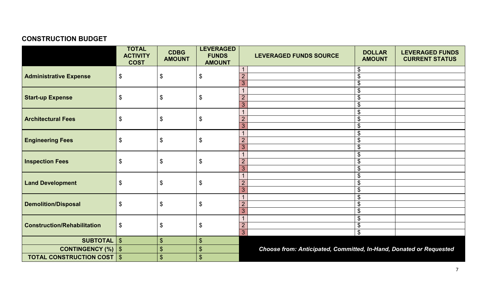# **CONSTRUCTION BUDGET**

|                                     | <b>TOTAL</b><br><b>ACTIVITY</b><br><b>COST</b> | <b>CDBG</b><br><b>AMOUNT</b> | <b>LEVERAGED</b><br><b>FUNDS</b><br><b>AMOUNT</b> |                     | <b>LEVERAGED FUNDS SOURCE</b>                                      | <b>DOLLAR</b><br><b>AMOUNT</b> | <b>LEVERAGED FUNDS</b><br><b>CURRENT STATUS</b> |  |
|-------------------------------------|------------------------------------------------|------------------------------|---------------------------------------------------|---------------------|--------------------------------------------------------------------|--------------------------------|-------------------------------------------------|--|
|                                     |                                                |                              |                                                   |                     | \$<br>\$                                                           |                                |                                                 |  |
| <b>Administrative Expense</b>       | $\boldsymbol{\$}$                              | \$                           | $\boldsymbol{\mathsf{\$}}$                        | $\overline{2}$      |                                                                    |                                |                                                 |  |
|                                     |                                                |                              |                                                   | 3                   |                                                                    | \$                             |                                                 |  |
|                                     |                                                |                              |                                                   |                     | \$                                                                 |                                |                                                 |  |
| <b>Start-up Expense</b>             | $\boldsymbol{\mathsf{\$}}$                     | \$                           | $\boldsymbol{\mathsf{\$}}$                        | $\overline{2}$      |                                                                    | \$                             |                                                 |  |
|                                     |                                                |                              |                                                   | 3                   |                                                                    | \$                             |                                                 |  |
|                                     |                                                |                              |                                                   | $\overline{1}$      |                                                                    | \$                             |                                                 |  |
| <b>Architectural Fees</b>           | $\boldsymbol{\$}$                              | \$                           | $\boldsymbol{\theta}$                             | $\overline{2}$<br>3 |                                                                    | \$<br>\$                       |                                                 |  |
|                                     |                                                |                              |                                                   |                     |                                                                    |                                |                                                 |  |
| <b>Engineering Fees</b>             | $\boldsymbol{\mathsf{\$}}$                     | \$                           | $\boldsymbol{\mathsf{S}}$                         | $\overline{2}$      |                                                                    | \$<br>\$                       |                                                 |  |
|                                     |                                                |                              |                                                   | 3                   |                                                                    | \$                             |                                                 |  |
|                                     | $\boldsymbol{\mathsf{S}}$                      |                              | $\boldsymbol{\mathsf{S}}$                         | $\overline{1}$      | \$                                                                 |                                |                                                 |  |
| <b>Inspection Fees</b>              |                                                | \$                           |                                                   | $\overline{2}$      |                                                                    | \$                             |                                                 |  |
|                                     |                                                |                              |                                                   | 3                   |                                                                    | \$                             |                                                 |  |
|                                     | $\boldsymbol{\theta}$<br>\$                    |                              | $\boldsymbol{\theta}$                             |                     |                                                                    | \$                             |                                                 |  |
| <b>Land Development</b>             |                                                |                              |                                                   | $\overline{2}$      |                                                                    | \$                             |                                                 |  |
|                                     |                                                |                              |                                                   | 3                   |                                                                    |                                |                                                 |  |
|                                     |                                                |                              | $\boldsymbol{\mathsf{\$}}$                        |                     |                                                                    | \$                             |                                                 |  |
| <b>Demolition/Disposal</b>          | $\boldsymbol{\mathsf{\$}}$                     | \$                           |                                                   | $\overline{2}$      |                                                                    | \$                             |                                                 |  |
|                                     |                                                |                              |                                                   | 3                   |                                                                    | \$                             |                                                 |  |
|                                     |                                                |                              |                                                   | $\mathbf 1$         | \$                                                                 |                                |                                                 |  |
| <b>Construction/Rehabilitation</b>  | $\boldsymbol{\mathsf{\$}}$<br>\$               |                              | $\boldsymbol{\mathsf{\$}}$                        | $\overline{2}$      | \$                                                                 |                                |                                                 |  |
|                                     |                                                |                              |                                                   | 3                   |                                                                    | \$                             |                                                 |  |
| SUBTOTAL                            | $\sqrt[3]{2}$                                  | $\boldsymbol{\mathsf{S}}$    | $\boldsymbol{\mathsf{S}}$                         |                     |                                                                    |                                |                                                 |  |
| <b>CONTINGENCY (%)   \$</b>         |                                                | \$                           | $\boldsymbol{\mathsf{S}}$                         |                     | Choose from: Anticipated, Committed, In-Hand, Donated or Requested |                                |                                                 |  |
| <b>TOTAL CONSTRUCTION COST   \$</b> |                                                | \$                           | $\boldsymbol{\mathsf{S}}$                         |                     |                                                                    |                                |                                                 |  |